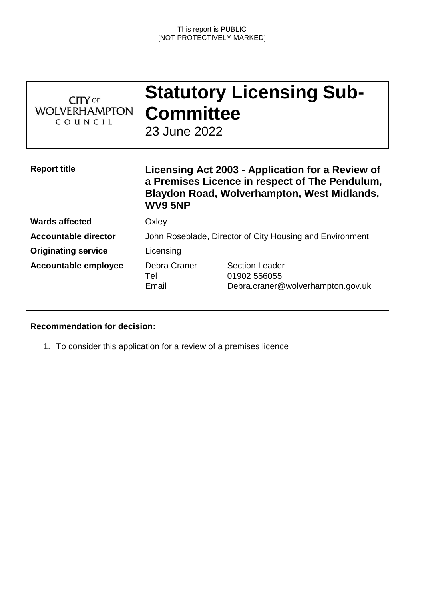| $CITY$ of<br><b>WOLVERHAMPTON</b><br>COUNCIL | <b>Committee</b><br>23 June 2022                                                                                                                             | <b>Statutory Licensing Sub-</b>                                            |
|----------------------------------------------|--------------------------------------------------------------------------------------------------------------------------------------------------------------|----------------------------------------------------------------------------|
| <b>Report title</b>                          | Licensing Act 2003 - Application for a Review of<br>a Premises Licence in respect of The Pendulum,<br>Blaydon Road, Wolverhampton, West Midlands,<br>WV9 5NP |                                                                            |
| <b>Wards affected</b>                        | Oxley                                                                                                                                                        |                                                                            |
| <b>Accountable director</b>                  | John Roseblade, Director of City Housing and Environment                                                                                                     |                                                                            |
| <b>Originating service</b>                   | Licensing                                                                                                                                                    |                                                                            |
| <b>Accountable employee</b>                  | Debra Craner<br>Tel<br>Email                                                                                                                                 | <b>Section Leader</b><br>01902 556055<br>Debra.craner@wolverhampton.gov.uk |

# **Recommendation for decision:**

1. To consider this application for a review of a premises licence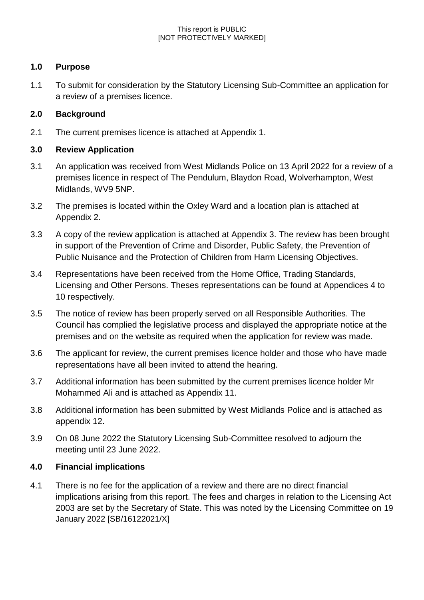#### This report is PUBLIC [NOT PROTECTIVELY MARKED]

## **1.0 Purpose**

1.1 To submit for consideration by the Statutory Licensing Sub-Committee an application for a review of a premises licence.

## **2.0 Background**

2.1 The current premises licence is attached at Appendix 1.

## **3.0 Review Application**

- 3.1 An application was received from West Midlands Police on 13 April 2022 for a review of a premises licence in respect of The Pendulum, Blaydon Road, Wolverhampton, West Midlands, WV9 5NP.
- 3.2 The premises is located within the Oxley Ward and a location plan is attached at Appendix 2.
- 3.3 A copy of the review application is attached at Appendix 3. The review has been brought in support of the Prevention of Crime and Disorder, Public Safety, the Prevention of Public Nuisance and the Protection of Children from Harm Licensing Objectives.
- 3.4 Representations have been received from the Home Office, Trading Standards, Licensing and Other Persons. Theses representations can be found at Appendices 4 to 10 respectively.
- 3.5 The notice of review has been properly served on all Responsible Authorities. The Council has complied the legislative process and displayed the appropriate notice at the premises and on the website as required when the application for review was made.
- 3.6 The applicant for review, the current premises licence holder and those who have made representations have all been invited to attend the hearing.
- 3.7 Additional information has been submitted by the current premises licence holder Mr Mohammed Ali and is attached as Appendix 11.
- 3.8 Additional information has been submitted by West Midlands Police and is attached as appendix 12.
- 3.9 On 08 June 2022 the Statutory Licensing Sub-Committee resolved to adjourn the meeting until 23 June 2022.

## **4.0 Financial implications**

4.1 There is no fee for the application of a review and there are no direct financial implications arising from this report. The fees and charges in relation to the Licensing Act 2003 are set by the Secretary of State. This was noted by the Licensing Committee on 19 January 2022 [SB/16122021/X]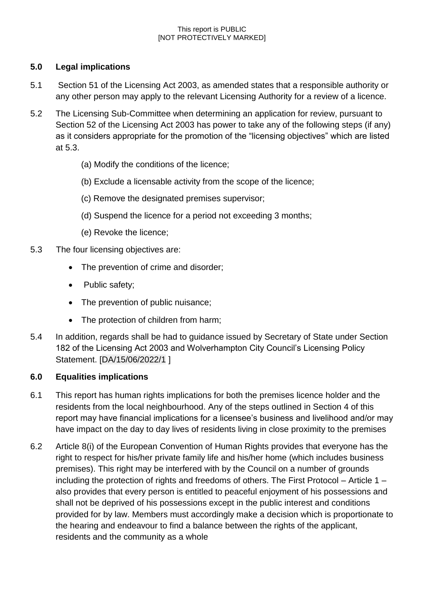#### This report is PUBLIC [NOT PROTECTIVELY MARKED]

## **5.0 Legal implications**

- 5.1 Section 51 of the Licensing Act 2003, as amended states that a responsible authority or any other person may apply to the relevant Licensing Authority for a review of a licence.
- 5.2 The Licensing Sub-Committee when determining an application for review, pursuant to Section 52 of the Licensing Act 2003 has power to take any of the following steps (if any) as it considers appropriate for the promotion of the "licensing objectives" which are listed at 5.3.
	- (a) Modify the conditions of the licence;
	- (b) Exclude a licensable activity from the scope of the licence;
	- (c) Remove the designated premises supervisor;
	- (d) Suspend the licence for a period not exceeding 3 months;
	- (e) Revoke the licence;
- 5.3 The four licensing objectives are:
	- The prevention of crime and disorder;
	- Public safety;
	- The prevention of public nuisance;
	- The protection of children from harm;
- 5.4 In addition, regards shall be had to guidance issued by Secretary of State under Section 182 of the Licensing Act 2003 and Wolverhampton City Council's Licensing Policy Statement. [DA/15/06/2022/1 ]

### **6.0 Equalities implications**

- 6.1 This report has human rights implications for both the premises licence holder and the residents from the local neighbourhood. Any of the steps outlined in Section 4 of this report may have financial implications for a licensee's business and livelihood and/or may have impact on the day to day lives of residents living in close proximity to the premises
- 6.2 Article 8(i) of the European Convention of Human Rights provides that everyone has the right to respect for his/her private family life and his/her home (which includes business premises). This right may be interfered with by the Council on a number of grounds including the protection of rights and freedoms of others. The First Protocol – Article 1 – also provides that every person is entitled to peaceful enjoyment of his possessions and shall not be deprived of his possessions except in the public interest and conditions provided for by law. Members must accordingly make a decision which is proportionate to the hearing and endeavour to find a balance between the rights of the applicant, residents and the community as a whole